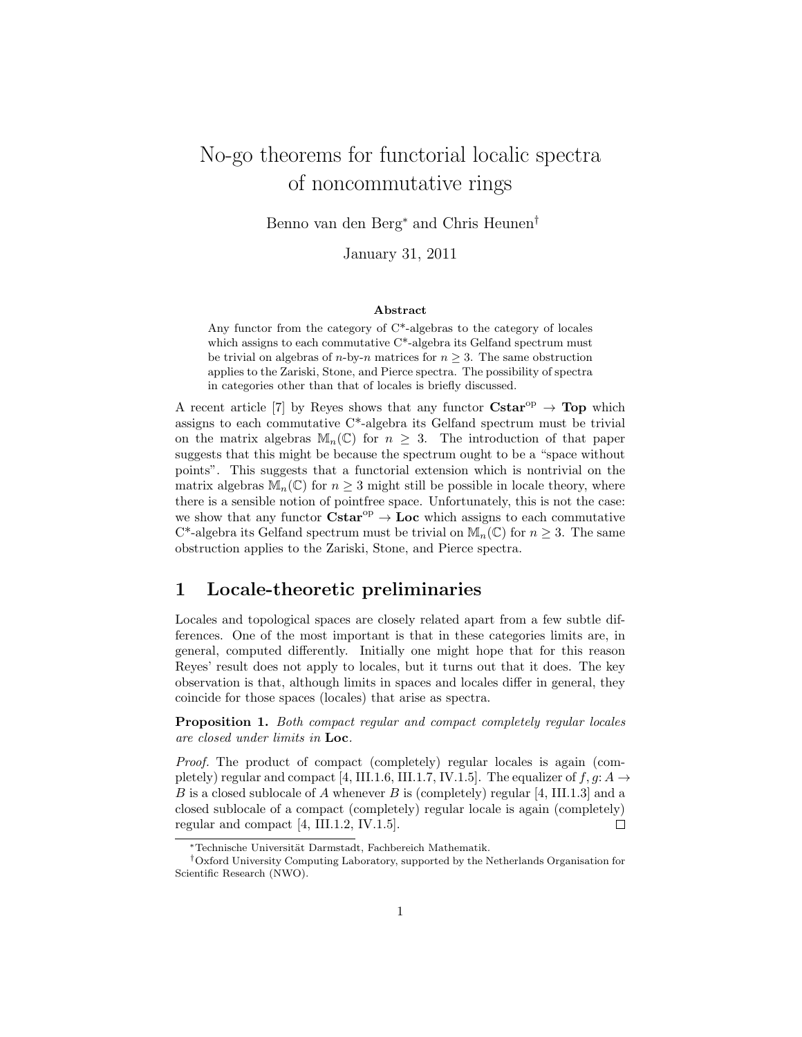# No-go theorems for functorial localic spectra of noncommutative rings

Benno van den Berg<sup>∗</sup> and Chris Heunen†

January 31, 2011

#### Abstract

Any functor from the category of  $C^*$ -algebras to the category of locales which assigns to each commutative C<sup>\*</sup>-algebra its Gelfand spectrum must be trivial on algebras of *n*-by-*n* matrices for  $n \geq 3$ . The same obstruction applies to the Zariski, Stone, and Pierce spectra. The possibility of spectra in categories other than that of locales is briefly discussed.

A recent article [7] by Reyes shows that any functor  $\text{Cstar}^{\text{op}} \to \text{Top}$  which assigns to each commutative C\*-algebra its Gelfand spectrum must be trivial on the matrix algebras  $\mathbb{M}_n(\mathbb{C})$  for  $n \geq 3$ . The introduction of that paper suggests that this might be because the spectrum ought to be a "space without points". This suggests that a functorial extension which is nontrivial on the matrix algebras  $\mathbb{M}_n(\mathbb{C})$  for  $n \geq 3$  might still be possible in locale theory, where there is a sensible notion of pointfree space. Unfortunately, this is not the case: we show that any functor  $Cstar^{op} \to Loc$  which assigns to each commutative C<sup>\*</sup>-algebra its Gelfand spectrum must be trivial on  $\mathbb{M}_n(\mathbb{C})$  for  $n \geq 3$ . The same obstruction applies to the Zariski, Stone, and Pierce spectra.

## 1 Locale-theoretic preliminaries

Locales and topological spaces are closely related apart from a few subtle differences. One of the most important is that in these categories limits are, in general, computed differently. Initially one might hope that for this reason Reyes' result does not apply to locales, but it turns out that it does. The key observation is that, although limits in spaces and locales differ in general, they coincide for those spaces (locales) that arise as spectra.

Proposition 1. Both compact regular and compact completely regular locales are closed under limits in Loc.

Proof. The product of compact (completely) regular locales is again (completely) regular and compact [4, III.1.6, III.1.7, IV.1.5]. The equalizer of  $f, g: A \rightarrow$ B is a closed sublocale of A whenever B is (completely) regular  $[4, III.1.3]$  and a closed sublocale of a compact (completely) regular locale is again (completely) regular and compact [4, III.1.2, IV.1.5].  $\Box$ 

<sup>∗</sup>Technische Universit¨at Darmstadt, Fachbereich Mathematik.

<sup>†</sup>Oxford University Computing Laboratory, supported by the Netherlands Organisation for Scientific Research (NWO).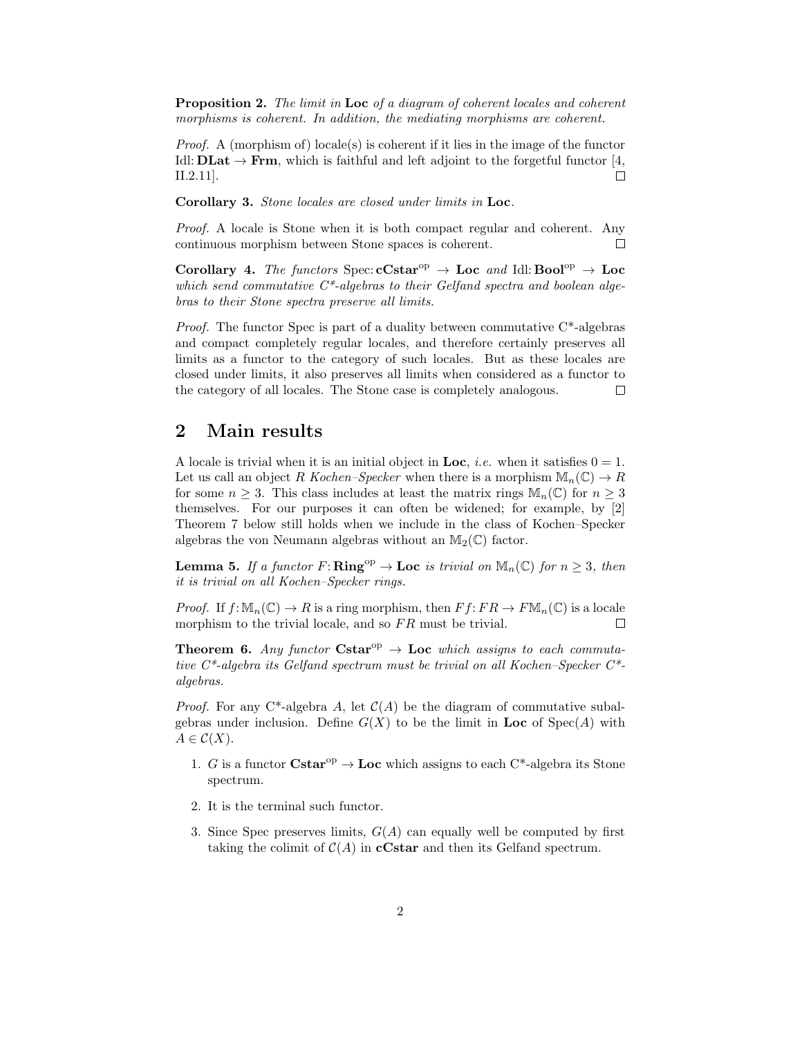Proposition 2. The limit in Loc of a diagram of coherent locales and coherent morphisms is coherent. In addition, the mediating morphisms are coherent.

*Proof.* A (morphism of) locale(s) is coherent if it lies in the image of the functor Idl:  $\mathbf{DLat} \to \mathbf{Frm}$ , which is faithful and left adjoint to the forgetful functor [4, II.2.11].  $\Box$ 

Corollary 3. Stone locales are closed under limits in Loc.

Proof. A locale is Stone when it is both compact regular and coherent. Any continuous morphism between Stone spaces is coherent.  $\Box$ 

Corollary 4. The functors Spec:  $cCstar^{op} \rightarrow Loc$  and Idl: Bool<sup>op</sup>  $\rightarrow Loc$ which send commutative  $C^*$ -algebras to their Gelfand spectra and boolean algebras to their Stone spectra preserve all limits.

*Proof.* The functor Spec is part of a duality between commutative  $C^*$ -algebras and compact completely regular locales, and therefore certainly preserves all limits as a functor to the category of such locales. But as these locales are closed under limits, it also preserves all limits when considered as a functor to the category of all locales. The Stone case is completely analogous.  $\Box$ 

#### 2 Main results

A locale is trivial when it is an initial object in Loc, *i.e.* when it satisfies  $0 = 1$ . Let us call an object R Kochen–Specker when there is a morphism  $\mathbb{M}_n(\mathbb{C}) \to R$ for some  $n \geq 3$ . This class includes at least the matrix rings  $\mathbb{M}_{n}(\mathbb{C})$  for  $n \geq 3$ . themselves. For our purposes it can often be widened; for example, by [2] Theorem 7 below still holds when we include in the class of Kochen–Specker algebras the von Neumann algebras without an  $\mathbb{M}_2(\mathbb{C})$  factor.

**Lemma 5.** If a functor  $F: \mathbf{Ring}^{\mathrm{op}} \to \mathbf{Loc}$  is trivial on  $\mathbb{M}_n(\mathbb{C})$  for  $n \geq 3$ , then it is trivial on all Kochen–Specker rings.

*Proof.* If  $f: \mathbb{M}_n(\mathbb{C}) \to R$  is a ring morphism, then  $Ff: FR \to F\mathbb{M}_n(\mathbb{C})$  is a locale morphism to the trivial locale, and so  $FR$  must be trivial.  $\Box$ 

**Theorem 6.** Any functor  $Cstar^{\text{op}} \to \text{Loc}$  which assigns to each commutative C\*-algebra its Gelfand spectrum must be trivial on all Kochen–Specker C\* algebras.

*Proof.* For any C<sup>\*</sup>-algebra A, let  $C(A)$  be the diagram of commutative subalgebras under inclusion. Define  $G(X)$  to be the limit in Loc of  $Spec(A)$  with  $A \in \mathcal{C}(X)$ .

- 1. G is a functor  $\text{Cstar}^{\text{op}} \to \text{Loc}$  which assigns to each  $C^*$ -algebra its Stone spectrum.
- 2. It is the terminal such functor.
- 3. Since Spec preserves limits,  $G(A)$  can equally well be computed by first taking the colimit of  $C(A)$  in **cCstar** and then its Gelfand spectrum.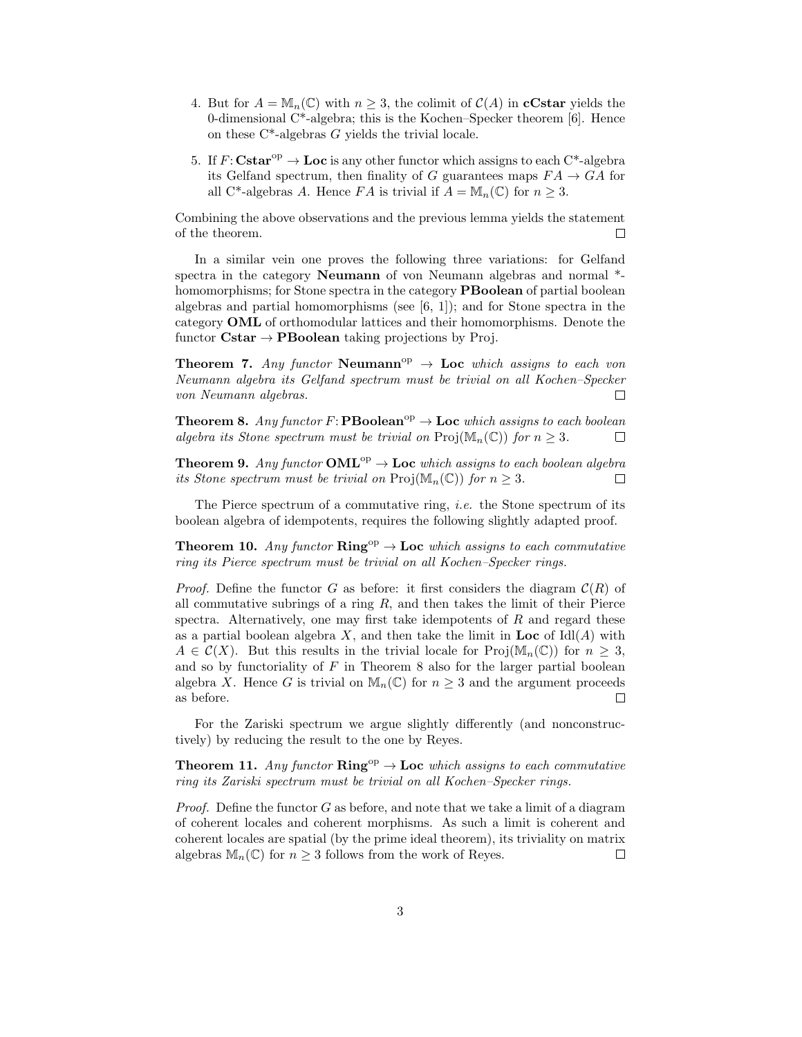- 4. But for  $A = \mathbb{M}_n(\mathbb{C})$  with  $n \geq 3$ , the colimit of  $\mathcal{C}(A)$  in **cCstar** yields the 0-dimensional C\*-algebra; this is the Kochen–Specker theorem [6]. Hence on these  $C^*$ -algebras G yields the trivial locale.
- 5. If  $F: \mathbf{Cstar}^{\mathrm{op}} \to \mathbf{Loc}$  is any other functor which assigns to each  $C^*$ -algebra its Gelfand spectrum, then finality of G guarantees maps  $FA \rightarrow GA$  for all C<sup>\*</sup>-algebras A. Hence FA is trivial if  $A = \mathbb{M}_n(\mathbb{C})$  for  $n \geq 3$ .

Combining the above observations and the previous lemma yields the statement of the theorem.  $\Box$ 

In a similar vein one proves the following three variations: for Gelfand spectra in the category Neumann of von Neumann algebras and normal \* homomorphisms; for Stone spectra in the category **PBoolean** of partial boolean algebras and partial homomorphisms (see  $(6, 1)$ ); and for Stone spectra in the category OML of orthomodular lattices and their homomorphisms. Denote the functor  $Cstar \rightarrow PBoolean$  taking projections by Proj.

**Theorem 7.** Any functor Neumann<sup>op</sup>  $\rightarrow$  Loc which assigns to each von Neumann algebra its Gelfand spectrum must be trivial on all Kochen–Specker von Neumann algebras.  $\Box$ 

**Theorem 8.** Any functor  $F: \mathbf{PBoolean}^{\mathrm{op}} \to \mathbf{Loc}$  which assigns to each boolean algebra its Stone spectrum must be trivial on  $\text{Proj}(\mathbb{M}_n(\mathbb{C}))$  for  $n \geq 3$ .  $\Box$ 

**Theorem 9.** Any functor **OML**<sup>op</sup>  $\rightarrow$  **Loc** which assigns to each boolean algebra its Stone spectrum must be trivial on  $\text{Proj}(\mathbb{M}_n(\mathbb{C}))$  for  $n \geq 3$ .  $\Box$ 

The Pierce spectrum of a commutative ring, *i.e.* the Stone spectrum of its boolean algebra of idempotents, requires the following slightly adapted proof.

**Theorem 10.** Any functor  $\mathbf{Ring}^{\mathrm{op}} \to \mathbf{Loc}$  which assigns to each commutative ring its Pierce spectrum must be trivial on all Kochen–Specker rings.

*Proof.* Define the functor G as before: it first considers the diagram  $\mathcal{C}(R)$  of all commutative subrings of a ring  $R$ , and then takes the limit of their Pierce spectra. Alternatively, one may first take idempotents of  $R$  and regard these as a partial boolean algebra X, and then take the limit in Loc of  $\text{Id}(A)$  with  $A \in \mathcal{C}(X)$ . But this results in the trivial locale for Proj $(\mathbb{M}_n(\mathbb{C}))$  for  $n > 3$ , and so by functoriality of  $F$  in Theorem 8 also for the larger partial boolean algebra X. Hence G is trivial on  $\mathbb{M}_n(\mathbb{C})$  for  $n \geq 3$  and the argument proceeds as before.  $\Box$ 

For the Zariski spectrum we argue slightly differently (and nonconstructively) by reducing the result to the one by Reyes.

**Theorem 11.** Any functor  $\mathbf{Ring}^{\mathrm{op}} \to \mathbf{Loc}$  which assigns to each commutative ring its Zariski spectrum must be trivial on all Kochen–Specker rings.

*Proof.* Define the functor  $G$  as before, and note that we take a limit of a diagram of coherent locales and coherent morphisms. As such a limit is coherent and coherent locales are spatial (by the prime ideal theorem), its triviality on matrix algebras  $\mathbb{M}_n(\mathbb{C})$  for  $n \geq 3$  follows from the work of Reyes.  $\Box$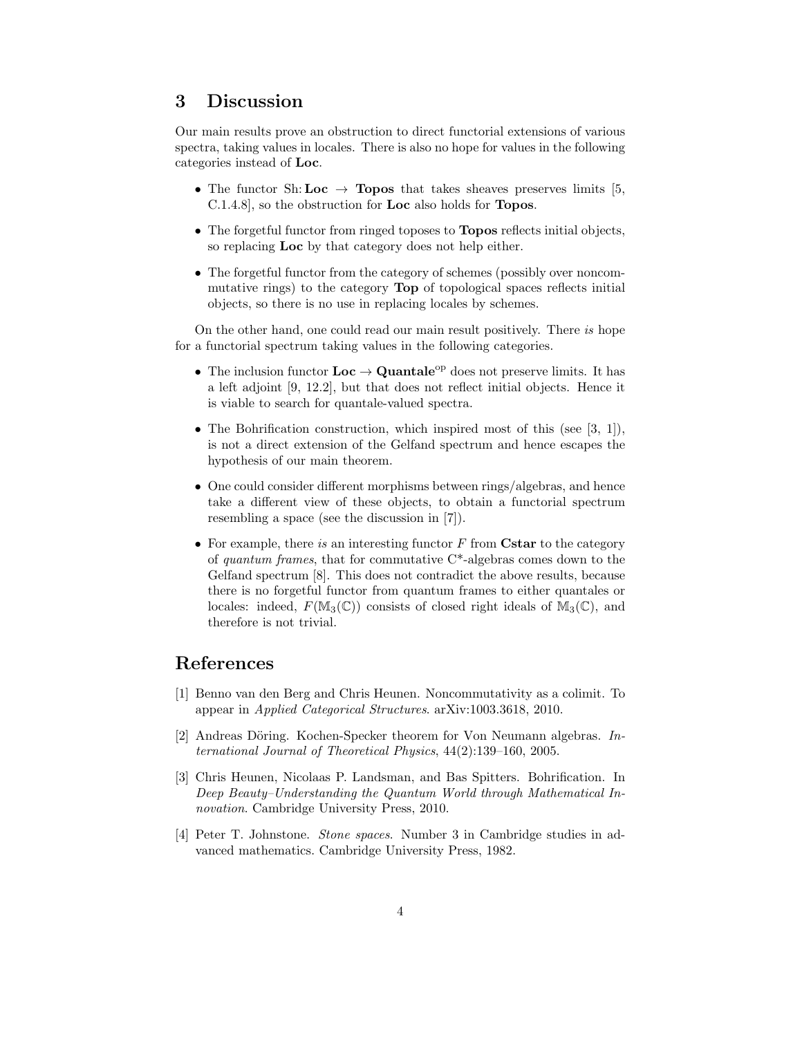## 3 Discussion

Our main results prove an obstruction to direct functorial extensions of various spectra, taking values in locales. There is also no hope for values in the following categories instead of Loc.

- The functor Sh: Loc  $\rightarrow$  Topos that takes sheaves preserves limits [5, C.1.4.8], so the obstruction for Loc also holds for Topos.
- The forgetful functor from ringed toposes to **Topos** reflects initial objects, so replacing Loc by that category does not help either.
- The forgetful functor from the category of schemes (possibly over noncommutative rings) to the category Top of topological spaces reflects initial objects, so there is no use in replacing locales by schemes.

On the other hand, one could read our main result positively. There is hope for a functorial spectrum taking values in the following categories.

- The inclusion functor  $Loc \rightarrow Quantale^{op}$  does not preserve limits. It has a left adjoint [9, 12.2], but that does not reflect initial objects. Hence it is viable to search for quantale-valued spectra.
- The Bohrification construction, which inspired most of this (see  $[3, 1]$ ), is not a direct extension of the Gelfand spectrum and hence escapes the hypothesis of our main theorem.
- One could consider different morphisms between rings/algebras, and hence take a different view of these objects, to obtain a functorial spectrum resembling a space (see the discussion in [7]).
- For example, there is an interesting functor  $F$  from Cstar to the category of quantum frames, that for commutative  $C^*$ -algebras comes down to the Gelfand spectrum [8]. This does not contradict the above results, because there is no forgetful functor from quantum frames to either quantales or locales: indeed,  $F(\mathbb{M}_3(\mathbb{C}))$  consists of closed right ideals of  $\mathbb{M}_3(\mathbb{C})$ , and therefore is not trivial.

#### References

- [1] Benno van den Berg and Chris Heunen. Noncommutativity as a colimit. To appear in Applied Categorical Structures. arXiv:1003.3618, 2010.
- [2] Andreas Döring. Kochen-Specker theorem for Von Neumann algebras. International Journal of Theoretical Physics, 44(2):139–160, 2005.
- [3] Chris Heunen, Nicolaas P. Landsman, and Bas Spitters. Bohrification. In Deep Beauty–Understanding the Quantum World through Mathematical Innovation. Cambridge University Press, 2010.
- [4] Peter T. Johnstone. Stone spaces. Number 3 in Cambridge studies in advanced mathematics. Cambridge University Press, 1982.